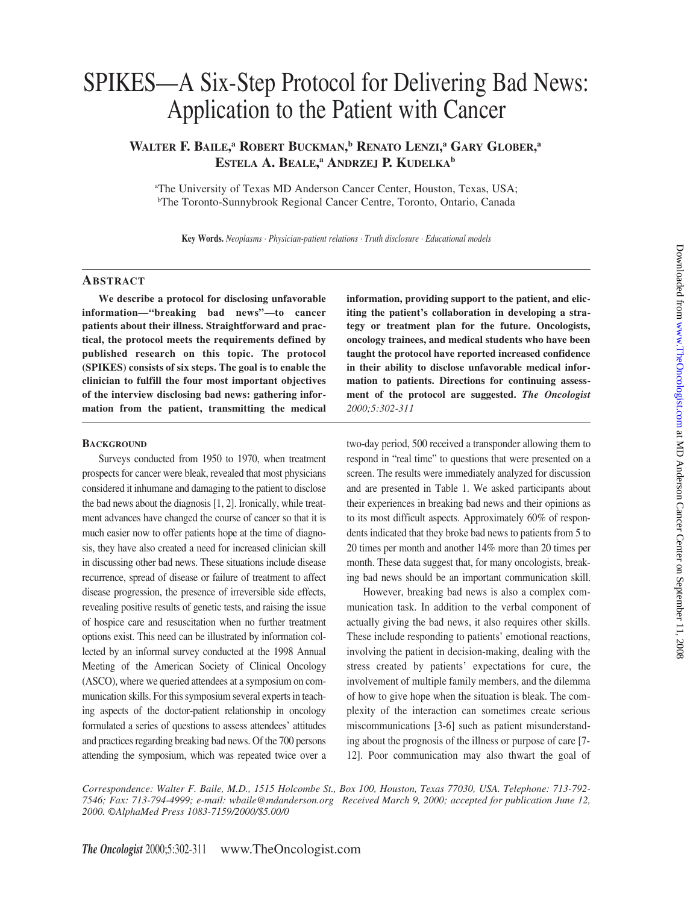# SPIKES—A Six-Step Protocol for Delivering Bad News: Application to the Patient with Cancer

# **WALTER F. BAILE, <sup>a</sup> ROBERT BUCKMAN, <sup>b</sup> RENATO LENZI, <sup>a</sup> GARY GLOBER, a ESTELA A. BEALE, <sup>a</sup> ANDRZEJ P. KUDELKAb**

a The University of Texas MD Anderson Cancer Center, Houston, Texas, USA; b The Toronto-Sunnybrook Regional Cancer Centre, Toronto, Ontario, Canada

**Key Words.** *Neoplasms · Physician-patient relations · Truth disclosure · Educational models*

# **ABSTRACT**

**We describe a protocol for disclosing unfavorable information—"breaking bad news"—to cancer patients about their illness. Straightforward and practical, the protocol meets the requirements defined by published research on this topic. The protocol (SPIKES) consists of six steps. The goal is to enable the clinician to fulfill the four most important objectives of the interview disclosing bad news: gathering information from the patient, transmitting the medical**

# **BACKGROUND**

Surveys conducted from 1950 to 1970, when treatment prospects for cancer were bleak, revealed that most physicians considered it inhumane and damaging to the patient to disclose the bad news about the diagnosis [1, 2]. Ironically, while treatment advances have changed the course of cancer so that it is much easier now to offer patients hope at the time of diagnosis, they have also created a need for increased clinician skill in discussing other bad news. These situations include disease recurrence, spread of disease or failure of treatment to affect disease progression, the presence of irreversible side effects, revealing positive results of genetic tests, and raising the issue of hospice care and resuscitation when no further treatment options exist. This need can be illustrated by information collected by an informal survey conducted at the 1998 Annual Meeting of the American Society of Clinical Oncology (ASCO), where we queried attendees at a symposium on communication skills. For this symposium several experts in teaching aspects of the doctor-patient relationship in oncology formulated a series of questions to assess attendees' attitudes and practices regarding breaking bad news. Of the 700 persons attending the symposium, which was repeated twice over a

**information, providing support to the patient, and eliciting the patient's collaboration in developing a strategy or treatment plan for the future. Oncologists, oncology trainees, and medical students who have been taught the protocol have reported increased confidence in their ability to disclose unfavorable medical information to patients. Directions for continuing assessment of the protocol are suggested.** *The Oncologist 2000;5:302-311*

two-day period, 500 received a transponder allowing them to respond in "real time" to questions that were presented on a screen. The results were immediately analyzed for discussion and are presented in Table 1. We asked participants about their experiences in breaking bad news and their opinions as to its most difficult aspects. Approximately 60% of respondents indicated that they broke bad news to patients from 5 to 20 times per month and another 14% more than 20 times per month. These data suggest that, for many oncologists, breaking bad news should be an important communication skill.

However, breaking bad news is also a complex communication task. In addition to the verbal component of actually giving the bad news, it also requires other skills. These include responding to patients' emotional reactions, involving the patient in decision-making, dealing with the stress created by patients' expectations for cure, the involvement of multiple family members, and the dilemma of how to give hope when the situation is bleak. The complexity of the interaction can sometimes create serious miscommunications [3-6] such as patient misunderstanding about the prognosis of the illness or purpose of care [7- 12]. Poor communication may also thwart the goal of

*Correspondence: Walter F. Baile, M.D., 1515 Holcombe St., Box 100, Houston, Texas 77030, USA. Telephone: 713-792- 7546; Fax: 713-794-4999; e-mail: wbaile@mdanderson.org Received March 9, 2000; accepted for publication June 12, 2000. ©AlphaMed Press 1083-7159/2000/\$5.00/0*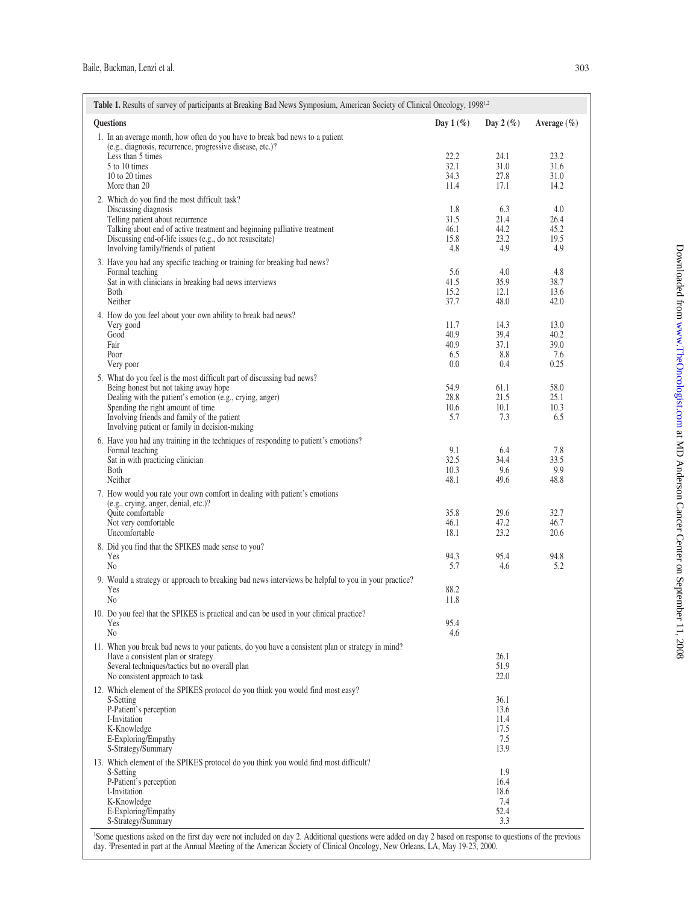| Table 1. Results of survey of participants at Breaking Bad News Symposium, American Society of Clinical Oncology, 1998 <sup>1,2</sup>                                                                                                                                                                                                                                             |                                    |                                             |                                     |
|-----------------------------------------------------------------------------------------------------------------------------------------------------------------------------------------------------------------------------------------------------------------------------------------------------------------------------------------------------------------------------------|------------------------------------|---------------------------------------------|-------------------------------------|
| <b>Questions</b>                                                                                                                                                                                                                                                                                                                                                                  | Day 1 $(\%)$                       | Day 2 $(\%)$                                | Average $(\% )$                     |
| 1. In an average month, how often do you have to break bad news to a patient<br>(e.g., diagnosis, recurrence, progressive disease, etc.)?<br>Less than 5 times<br>5 to 10 times<br>10 to 20 times                                                                                                                                                                                 | 22.2<br>32.1<br>34.3               | 24.1<br>31.0<br>27.8                        | 23.2<br>31.6<br>31.0                |
| More than 20                                                                                                                                                                                                                                                                                                                                                                      | 11.4                               | 17.1                                        | 14.2                                |
| 2. Which do you find the most difficult task?<br>Discussing diagnosis<br>Telling patient about recurrence<br>Talking about end of active treatment and beginning palliative treatment<br>Discussing end-of-life issues (e.g., do not resuscitate)<br>Involving family/friends of patient                                                                                          | 1.8<br>31.5<br>46.1<br>15.8<br>4.8 | 6.3<br>21.4<br>44.2<br>23.2<br>4.9          | 4.0<br>26.4<br>45.2<br>19.5<br>4.9  |
| 3. Have you had any specific teaching or training for breaking bad news?<br>Formal teaching<br>Sat in with clinicians in breaking bad news interviews<br><b>Both</b><br>Neither                                                                                                                                                                                                   | 5.6<br>41.5<br>15.2<br>37.7        | 4.0<br>35.9<br>12.1<br>48.0                 | 4.8<br>38.7<br>13.6<br>42.0         |
| 4. How do you feel about your own ability to break bad news?<br>Very good<br>Good<br>Fair<br>Poor<br>Very poor                                                                                                                                                                                                                                                                    | 11.7<br>40.9<br>40.9<br>6.5<br>0.0 | 14.3<br>39.4<br>37.1<br>8.8<br>0.4          | 13.0<br>40.2<br>39.0<br>7.6<br>0.25 |
| 5. What do you feel is the most difficult part of discussing bad news?<br>Being honest but not taking away hope<br>Dealing with the patient's emotion (e.g., crying, anger)<br>Spending the right amount of time<br>Involving friends and family of the patient<br>Involving patient or family in decision-making                                                                 | 54.9<br>28.8<br>10.6<br>5.7        | 61.1<br>21.5<br>10.1<br>7.3                 | 58.0<br>25.1<br>10.3<br>6.5         |
| 6. Have you had any training in the techniques of responding to patient's emotions?<br>Formal teaching<br>Sat in with practicing clinician<br><b>Both</b><br>Neither                                                                                                                                                                                                              | 9.1<br>32.5<br>10.3<br>48.1        | 6.4<br>34.4<br>9.6<br>49.6                  | 7.8<br>33.5<br>9.9<br>48.8          |
| 7. How would you rate your own comfort in dealing with patient's emotions<br>(e.g., crying, anger, denial, etc.)?<br>Quite comfortable<br>Not very comfortable<br>Uncomfortable                                                                                                                                                                                                   | 35.8<br>46.1<br>18.1               | 29.6<br>47.2<br>23.2                        | 32.7<br>46.7<br>20.6                |
| 8. Did you find that the SPIKES made sense to you?<br>Yes<br>N <sub>0</sub>                                                                                                                                                                                                                                                                                                       | 94.3<br>5.7                        | 95.4<br>4.6                                 | 94.8<br>5.2                         |
| 9. Would a strategy or approach to breaking bad news interviews be helpful to you in your practice?<br>Yes<br>N <sub>0</sub>                                                                                                                                                                                                                                                      | 88.2<br>11.8                       |                                             |                                     |
| 10. Do you feel that the SPIKES is practical and can be used in your clinical practice?<br>Yes<br>No                                                                                                                                                                                                                                                                              | 95.4<br>4.6                        |                                             |                                     |
| 11. When you break bad news to your patients, do you have a consistent plan or strategy in mind?<br>Have a consistent plan or strategy<br>Several techniques/tactics but no overall plan<br>No consistent approach to task                                                                                                                                                        |                                    | 26.1<br>51.9<br>22.0                        |                                     |
| 12. Which element of the SPIKES protocol do you think you would find most easy?<br>S-Setting<br>P-Patient's perception<br>I-Invitation<br>K-Knowledge<br>E-Exploring/Empathy<br>S-Strategy/Summary                                                                                                                                                                                |                                    | 36.1<br>13.6<br>11.4<br>17.5<br>7.5<br>13.9 |                                     |
| 13. Which element of the SPIKES protocol do you think you would find most difficult?<br>S-Setting<br>P-Patient's perception<br>I-Invitation<br>K-Knowledge<br>E-Exploring/Empathy<br>S-Strategy/Summary<br><sup>1</sup> Some questions asked on the first day were not included on day 2. Additional questions were added on day 2 based on response to questions of the previous |                                    | 1.9<br>16.4<br>18.6<br>7.4<br>52.4<br>3.3   |                                     |

'Some questions asked on the first day were not included on day 2. Additional questions were added on day 2 based on response to questions of the previous<br>day. <sup>2</sup>Presented in part at the Annual Meeting of the American Soc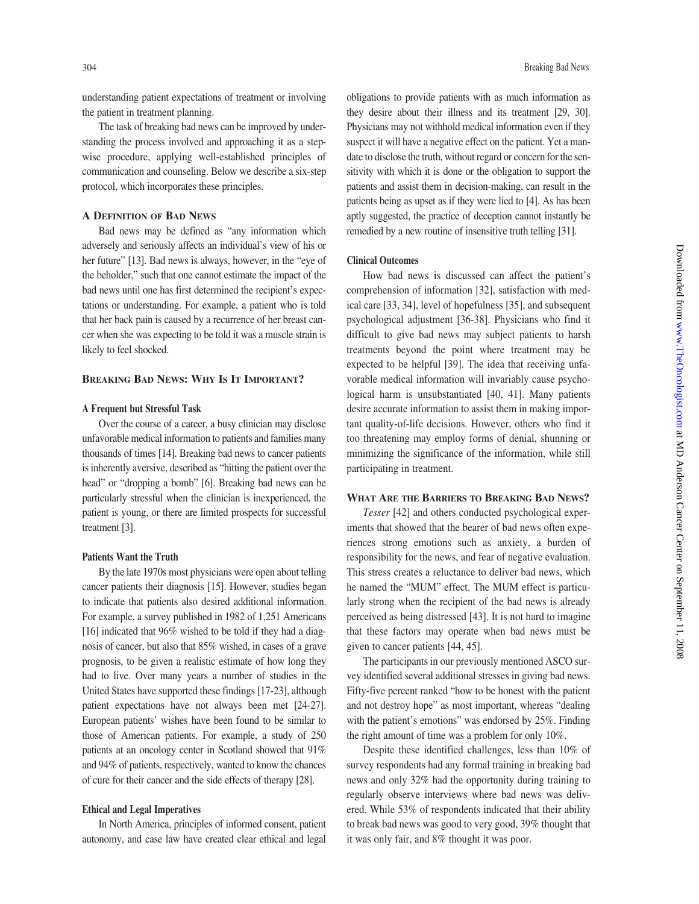understanding patient expectations of treatment or involving the patient in treatment planning.

The task of breaking bad news can be improved by understanding the process involved and approaching it as a stepwise procedure, applying well-established principles of communication and counseling. Below we describe a six-step protocol, which incorporates these principles.

#### **A DEFINITION OF BAD NEWS**

Bad news may be defined as "any information which adversely and seriously affects an individual's view of his or her future" [13]. Bad news is always, however, in the "eye of the beholder," such that one cannot estimate the impact of the bad news until one has first determined the recipient's expectations or understanding. For example, a patient who is told that her back pain is caused by a recurrence of her breast cancer when she was expecting to be told it was a muscle strain is likely to feel shocked.

#### **BREAKING BAD NEWS: WHY IS IT IMPORTANT?**

# **A Frequent but Stressful Task**

Over the course of a career, a busy clinician may disclose unfavorable medical information to patients and families many thousands of times [14]. Breaking bad news to cancer patients is inherently aversive, described as "hitting the patient over the head" or "dropping a bomb" [6]. Breaking bad news can be particularly stressful when the clinician is inexperienced, the patient is young, or there are limited prospects for successful treatment [3].

# **Patients Want the Truth**

By the late 1970s most physicians were open about telling cancer patients their diagnosis [15]. However, studies began to indicate that patients also desired additional information. For example, a survey published in 1982 of 1,251 Americans [16] indicated that 96% wished to be told if they had a diagnosis of cancer, but also that 85% wished, in cases of a grave prognosis, to be given a realistic estimate of how long they had to live. Over many years a number of studies in the United States have supported these findings [17-23], although patient expectations have not always been met [24-27]. European patients' wishes have been found to be similar to those of American patients. For example, a study of 250 patients at an oncology center in Scotland showed that 91% and 94% of patients, respectively, wanted to know the chances of cure for their cancer and the side effects of therapy [28].

# **Ethical and Legal Imperatives**

In North America, principles of informed consent, patient autonomy, and case law have created clear ethical and legal obligations to provide patients with as much information as they desire about their illness and its treatment [29, 30]. Physicians may not withhold medical information even if they suspect it will have a negative effect on the patient. Yet a mandate to disclose the truth, without regard or concern for the sensitivity with which it is done or the obligation to support the patients and assist them in decision-making, can result in the patients being as upset as if they were lied to [4]. As has been aptly suggested, the practice of deception cannot instantly be remedied by a new routine of insensitive truth telling [31].

#### **Clinical Outcomes**

How bad news is discussed can affect the patient's comprehension of information [32], satisfaction with medical care [33, 34], level of hopefulness [35], and subsequent psychological adjustment [36-38]. Physicians who find it difficult to give bad news may subject patients to harsh treatments beyond the point where treatment may be expected to be helpful [39]. The idea that receiving unfavorable medical information will invariably cause psychological harm is unsubstantiated [40, 41]. Many patients desire accurate information to assist them in making important quality-of-life decisions. However, others who find it too threatening may employ forms of denial, shunning or minimizing the significance of the information, while still participating in treatment.

#### **WHAT ARE THE BARRIERS TO BREAKING BAD NEWS?**

*Tesser* [42] and others conducted psychological experiments that showed that the bearer of bad news often experiences strong emotions such as anxiety, a burden of responsibility for the news, and fear of negative evaluation. This stress creates a reluctance to deliver bad news, which he named the "MUM" effect. The MUM effect is particularly strong when the recipient of the bad news is already perceived as being distressed [43]. It is not hard to imagine that these factors may operate when bad news must be given to cancer patients [44, 45].

The participants in our previously mentioned ASCO survey identified several additional stresses in giving bad news. Fifty-five percent ranked "how to be honest with the patient and not destroy hope" as most important, whereas "dealing with the patient's emotions" was endorsed by 25%. Finding the right amount of time was a problem for only 10%.

Despite these identified challenges, less than 10% of survey respondents had any formal training in breaking bad news and only 32% had the opportunity during training to regularly observe interviews where bad news was delivered. While 53% of respondents indicated that their ability to break bad news was good to very good, 39% thought that it was only fair, and 8% thought it was poor.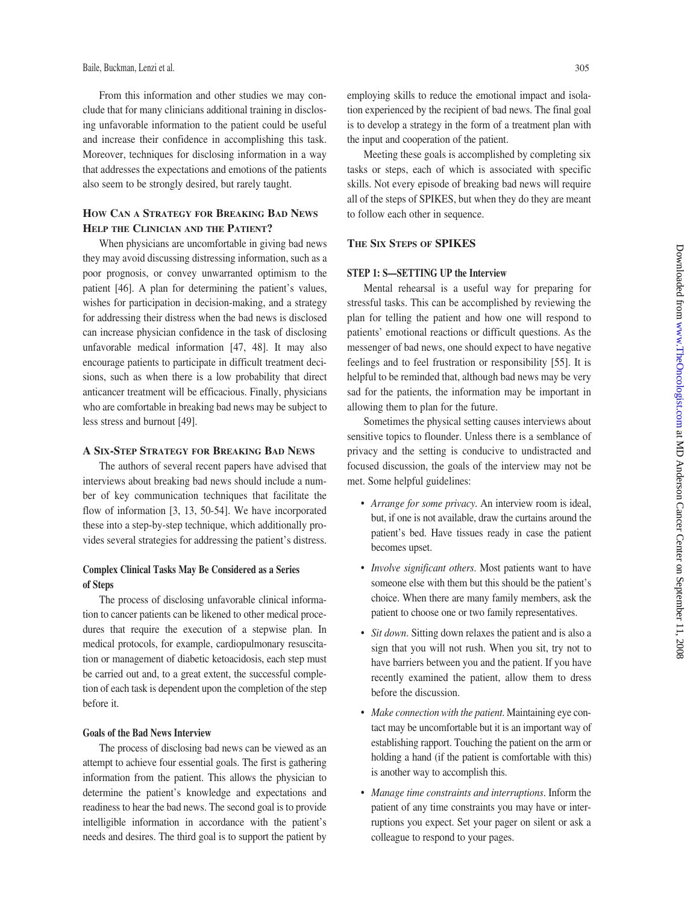#### Baile, Buckman, Lenzi et al. 305

From this information and other studies we may conclude that for many clinicians additional training in disclosing unfavorable information to the patient could be useful and increase their confidence in accomplishing this task. Moreover, techniques for disclosing information in a way that addresses the expectations and emotions of the patients also seem to be strongly desired, but rarely taught.

# **HOW CAN A STRATEGY FOR BREAKING BAD NEWS HELP THE CLINICIAN AND THE PATIENT?**

When physicians are uncomfortable in giving bad news they may avoid discussing distressing information, such as a poor prognosis, or convey unwarranted optimism to the patient [46]. A plan for determining the patient's values, wishes for participation in decision-making, and a strategy for addressing their distress when the bad news is disclosed can increase physician confidence in the task of disclosing unfavorable medical information [47, 48]. It may also encourage patients to participate in difficult treatment decisions, such as when there is a low probability that direct anticancer treatment will be efficacious. Finally, physicians who are comfortable in breaking bad news may be subject to less stress and burnout [49].

# **A SIX-STEP STRATEGY FOR BREAKING BAD NEWS**

The authors of several recent papers have advised that interviews about breaking bad news should include a number of key communication techniques that facilitate the flow of information [3, 13, 50-54]. We have incorporated these into a step-by-step technique, which additionally provides several strategies for addressing the patient's distress.

# **Complex Clinical Tasks May Be Considered as a Series of Steps**

The process of disclosing unfavorable clinical information to cancer patients can be likened to other medical procedures that require the execution of a stepwise plan. In medical protocols, for example, cardiopulmonary resuscitation or management of diabetic ketoacidosis, each step must be carried out and, to a great extent, the successful completion of each task is dependent upon the completion of the step before it.

# **Goals of the Bad News Interview**

The process of disclosing bad news can be viewed as an attempt to achieve four essential goals. The first is gathering information from the patient. This allows the physician to determine the patient's knowledge and expectations and readiness to hear the bad news. The second goal is to provide intelligible information in accordance with the patient's needs and desires. The third goal is to support the patient by

employing skills to reduce the emotional impact and isolation experienced by the recipient of bad news. The final goal is to develop a strategy in the form of a treatment plan with the input and cooperation of the patient.

Meeting these goals is accomplished by completing six tasks or steps, each of which is associated with specific skills. Not every episode of breaking bad news will require all of the steps of SPIKES, but when they do they are meant to follow each other in sequence.

# **THE SIX STEPS OF SPIKES**

#### **STEP 1: S—SETTING UP the Interview**

Mental rehearsal is a useful way for preparing for stressful tasks. This can be accomplished by reviewing the plan for telling the patient and how one will respond to patients' emotional reactions or difficult questions. As the messenger of bad news, one should expect to have negative feelings and to feel frustration or responsibility [55]. It is helpful to be reminded that, although bad news may be very sad for the patients, the information may be important in allowing them to plan for the future.

Sometimes the physical setting causes interviews about sensitive topics to flounder. Unless there is a semblance of privacy and the setting is conducive to undistracted and focused discussion, the goals of the interview may not be met. Some helpful guidelines:

- *Arrange for some privacy*. An interview room is ideal, but, if one is not available, draw the curtains around the patient's bed. Have tissues ready in case the patient becomes upset.
- *Involve significant others*. Most patients want to have someone else with them but this should be the patient's choice. When there are many family members, ask the patient to choose one or two family representatives.
- *Sit down*. Sitting down relaxes the patient and is also a sign that you will not rush. When you sit, try not to have barriers between you and the patient. If you have recently examined the patient, allow them to dress before the discussion.
- *Make connection with the patient*. Maintaining eye contact may be uncomfortable but it is an important way of establishing rapport. Touching the patient on the arm or holding a hand (if the patient is comfortable with this) is another way to accomplish this.
- *Manage time constraints and interruptions*. Inform the patient of any time constraints you may have or interruptions you expect. Set your pager on silent or ask a colleague to respond to your pages.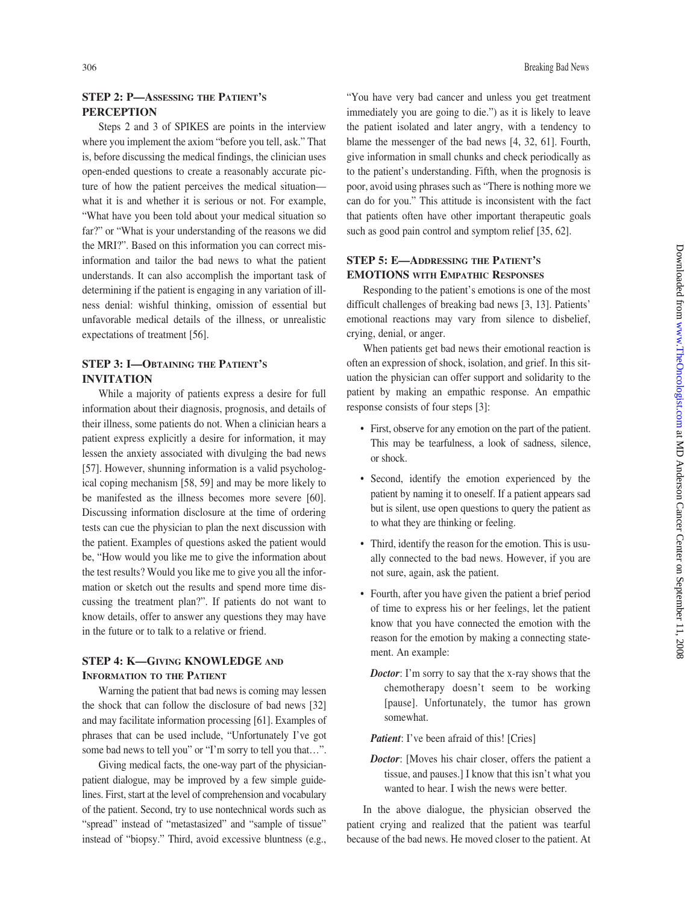# **STEP 2: P—ASSESSING THE PATIENT'S PERCEPTION**

Steps 2 and 3 of SPIKES are points in the interview where you implement the axiom "before you tell, ask." That is, before discussing the medical findings, the clinician uses open-ended questions to create a reasonably accurate picture of how the patient perceives the medical situation what it is and whether it is serious or not. For example, "What have you been told about your medical situation so far?" or "What is your understanding of the reasons we did the MRI?". Based on this information you can correct misinformation and tailor the bad news to what the patient understands. It can also accomplish the important task of determining if the patient is engaging in any variation of illness denial: wishful thinking, omission of essential but unfavorable medical details of the illness, or unrealistic expectations of treatment [56].

# **STEP 3: I—OBTAINING THE PATIENT'S INVITATION**

While a majority of patients express a desire for full information about their diagnosis, prognosis, and details of their illness, some patients do not. When a clinician hears a patient express explicitly a desire for information, it may lessen the anxiety associated with divulging the bad news [57]. However, shunning information is a valid psychological coping mechanism [58, 59] and may be more likely to be manifested as the illness becomes more severe [60]. Discussing information disclosure at the time of ordering tests can cue the physician to plan the next discussion with the patient. Examples of questions asked the patient would be, "How would you like me to give the information about the test results? Would you like me to give you all the information or sketch out the results and spend more time discussing the treatment plan?". If patients do not want to know details, offer to answer any questions they may have in the future or to talk to a relative or friend.

# **STEP 4: K—GIVING KNOWLEDGE AND INFORMATION TO THE PATIENT**

Warning the patient that bad news is coming may lessen the shock that can follow the disclosure of bad news [32] and may facilitate information processing [61]. Examples of phrases that can be used include, "Unfortunately I've got some bad news to tell you" or "I'm sorry to tell you that…".

Giving medical facts, the one-way part of the physicianpatient dialogue, may be improved by a few simple guidelines. First, start at the level of comprehension and vocabulary of the patient. Second, try to use nontechnical words such as "spread" instead of "metastasized" and "sample of tissue" instead of "biopsy." Third, avoid excessive bluntness (e.g., "You have very bad cancer and unless you get treatment immediately you are going to die.") as it is likely to leave the patient isolated and later angry, with a tendency to blame the messenger of the bad news [4, 32, 61]. Fourth, give information in small chunks and check periodically as to the patient's understanding. Fifth, when the prognosis is poor, avoid using phrases such as "There is nothing more we can do for you." This attitude is inconsistent with the fact that patients often have other important therapeutic goals such as good pain control and symptom relief [35, 62].

# **STEP 5: E—ADDRESSING THE PATIENT'S EMOTIONS WITH EMPATHIC RESPONSES**

Responding to the patient's emotions is one of the most difficult challenges of breaking bad news [3, 13]. Patients' emotional reactions may vary from silence to disbelief, crying, denial, or anger.

When patients get bad news their emotional reaction is often an expression of shock, isolation, and grief. In this situation the physician can offer support and solidarity to the patient by making an empathic response. An empathic response consists of four steps [3]:

- First, observe for any emotion on the part of the patient. This may be tearfulness, a look of sadness, silence, or shock.
- Second, identify the emotion experienced by the patient by naming it to oneself. If a patient appears sad but is silent, use open questions to query the patient as to what they are thinking or feeling.
- Third, identify the reason for the emotion. This is usually connected to the bad news. However, if you are not sure, again, ask the patient.
- Fourth, after you have given the patient a brief period of time to express his or her feelings, let the patient know that you have connected the emotion with the reason for the emotion by making a connecting statement. An example:
	- *Doctor*: I'm sorry to say that the x-ray shows that the chemotherapy doesn't seem to be working [pause]. Unfortunately, the tumor has grown somewhat.

*Patient*: I've been afraid of this! [Cries]

*Doctor*: [Moves his chair closer, offers the patient a tissue, and pauses.] I know that this isn't what you wanted to hear. I wish the news were better.

In the above dialogue, the physician observed the patient crying and realized that the patient was tearful because of the bad news. He moved closer to the patient. At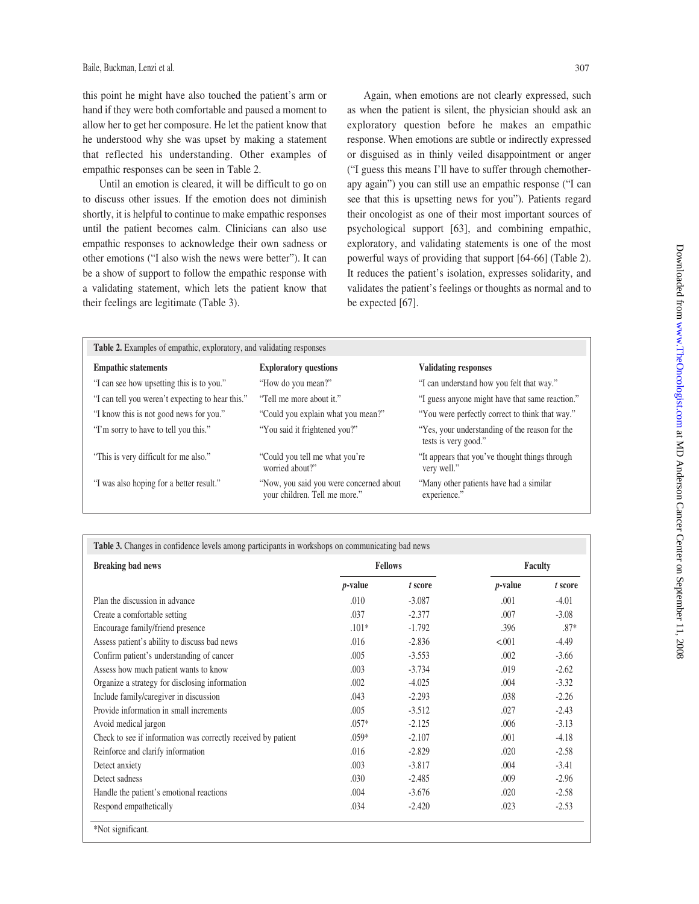this point he might have also touched the patient's arm or hand if they were both comfortable and paused a moment to allow her to get her composure. He let the patient know that he understood why she was upset by making a statement that reflected his understanding. Other examples of empathic responses can be seen in Table 2.

Until an emotion is cleared, it will be difficult to go on to discuss other issues. If the emotion does not diminish shortly, it is helpful to continue to make empathic responses until the patient becomes calm. Clinicians can also use empathic responses to acknowledge their own sadness or other emotions ("I also wish the news were better"). It can be a show of support to follow the empathic response with a validating statement, which lets the patient know that their feelings are legitimate (Table 3).

Again, when emotions are not clearly expressed, such as when the patient is silent, the physician should ask an exploratory question before he makes an empathic response. When emotions are subtle or indirectly expressed or disguised as in thinly veiled disappointment or anger ("I guess this means I'll have to suffer through chemotherapy again") you can still use an empathic response ("I can see that this is upsetting news for you"). Patients regard their oncologist as one of their most important sources of psychological support [63], and combining empathic, exploratory, and validating statements is one of the most powerful ways of providing that support [64-66] (Table 2). It reduces the patient's isolation, expresses solidarity, and validates the patient's feelings or thoughts as normal and to be expected [67].

| Table 2. Examples of empathic, exploratory, and validating responses |                                                                          |                                                                        |  |  |
|----------------------------------------------------------------------|--------------------------------------------------------------------------|------------------------------------------------------------------------|--|--|
| <b>Empathic statements</b>                                           | <b>Exploratory questions</b>                                             | <b>Validating responses</b>                                            |  |  |
| "I can see how upsetting this is to you."                            | "How do you mean?"                                                       | "I can understand how you felt that way."                              |  |  |
| "I can tell you weren't expecting to hear this."                     | "Tell me more about it."                                                 | "I guess anyone might have that same reaction."                        |  |  |
| "I know this is not good news for you."                              | "Could you explain what you mean?"                                       | "You were perfectly correct to think that way."                        |  |  |
| "I'm sorry to have to tell you this."                                | "You said it frightened you?"                                            | "Yes, your understanding of the reason for the<br>tests is very good." |  |  |
| "This is very difficult for me also."                                | "Could you tell me what you're<br>worried about?"                        | "It appears that you've thought things through<br>very well."          |  |  |
| "I was also hoping for a better result."                             | "Now, you said you were concerned about<br>your children. Tell me more." | "Many other patients have had a similar<br>experience."                |  |  |

| <b>Breaking bad news</b>                                      | <b>Fellows</b>  |          | Faculty         |         |
|---------------------------------------------------------------|-----------------|----------|-----------------|---------|
|                                                               | <i>p</i> -value | t score  | <i>p</i> -value | t score |
| Plan the discussion in advance                                | .010            | $-3.087$ | .001            | $-4.01$ |
| Create a comfortable setting                                  | .037            | $-2.377$ | .007            | $-3.08$ |
| Encourage family/friend presence                              | $.101*$         | $-1.792$ | .396            | $.87*$  |
| Assess patient's ability to discuss bad news                  | .016            | $-2.836$ | < 0.01          | $-4.49$ |
| Confirm patient's understanding of cancer                     | .005            | $-3.553$ | .002            | $-3.66$ |
| Assess how much patient wants to know                         | .003            | $-3.734$ | .019            | $-2.62$ |
| Organize a strategy for disclosing information                | .002            | $-4.025$ | .004            | $-3.32$ |
| Include family/caregiver in discussion                        | .043            | $-2.293$ | .038            | $-2.26$ |
| Provide information in small increments                       | .005            | $-3.512$ | .027            | $-2.43$ |
| Avoid medical jargon                                          | $.057*$         | $-2.125$ | .006            | $-3.13$ |
| Check to see if information was correctly received by patient | $.059*$         | $-2.107$ | .001            | $-4.18$ |
| Reinforce and clarify information                             | .016            | $-2.829$ | .020            | $-2.58$ |
| Detect anxiety                                                | .003            | $-3.817$ | .004            | $-3.41$ |
| Detect sadness                                                | .030            | $-2.485$ | .009            | $-2.96$ |
| Handle the patient's emotional reactions                      | .004            | $-3.676$ | .020            | $-2.58$ |
| Respond empathetically                                        | .034            | $-2.420$ | .023            | $-2.53$ |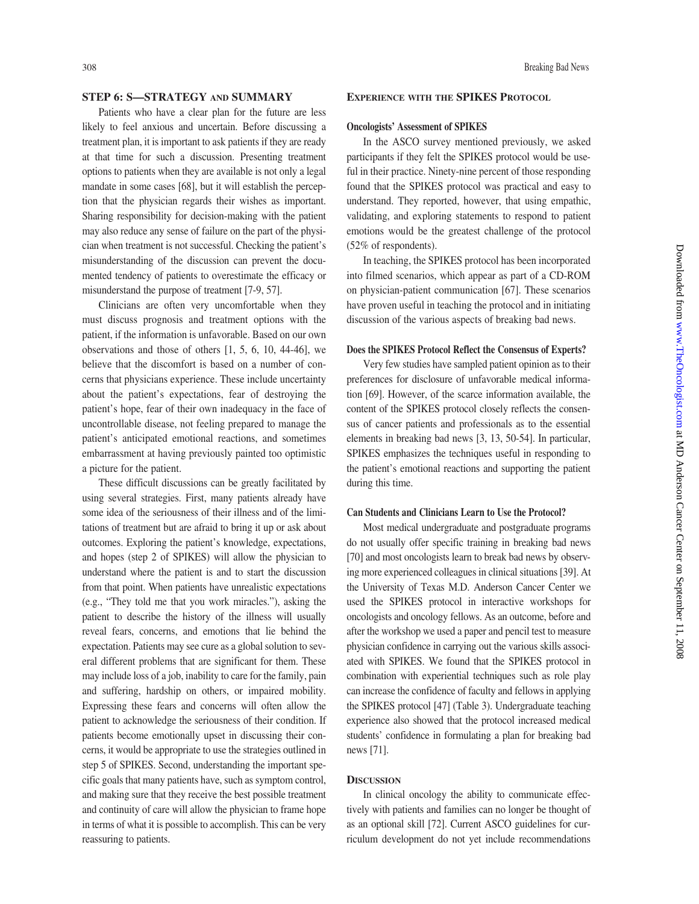# **STEP 6: S—STRATEGY AND SUMMARY**

Patients who have a clear plan for the future are less likely to feel anxious and uncertain. Before discussing a treatment plan, it is important to ask patients if they are ready at that time for such a discussion. Presenting treatment options to patients when they are available is not only a legal mandate in some cases [68], but it will establish the perception that the physician regards their wishes as important. Sharing responsibility for decision-making with the patient may also reduce any sense of failure on the part of the physician when treatment is not successful. Checking the patient's misunderstanding of the discussion can prevent the documented tendency of patients to overestimate the efficacy or misunderstand the purpose of treatment [7-9, 57].

Clinicians are often very uncomfortable when they must discuss prognosis and treatment options with the patient, if the information is unfavorable. Based on our own observations and those of others [1, 5, 6, 10, 44-46], we believe that the discomfort is based on a number of concerns that physicians experience. These include uncertainty about the patient's expectations, fear of destroying the patient's hope, fear of their own inadequacy in the face of uncontrollable disease, not feeling prepared to manage the patient's anticipated emotional reactions, and sometimes embarrassment at having previously painted too optimistic a picture for the patient.

These difficult discussions can be greatly facilitated by using several strategies. First, many patients already have some idea of the seriousness of their illness and of the limitations of treatment but are afraid to bring it up or ask about outcomes. Exploring the patient's knowledge, expectations, and hopes (step 2 of SPIKES) will allow the physician to understand where the patient is and to start the discussion from that point. When patients have unrealistic expectations (e.g., "They told me that you work miracles."), asking the patient to describe the history of the illness will usually reveal fears, concerns, and emotions that lie behind the expectation. Patients may see cure as a global solution to several different problems that are significant for them. These may include loss of a job, inability to care for the family, pain and suffering, hardship on others, or impaired mobility. Expressing these fears and concerns will often allow the patient to acknowledge the seriousness of their condition. If patients become emotionally upset in discussing their concerns, it would be appropriate to use the strategies outlined in step 5 of SPIKES. Second, understanding the important specific goals that many patients have, such as symptom control, and making sure that they receive the best possible treatment and continuity of care will allow the physician to frame hope in terms of what it is possible to accomplish. This can be very reassuring to patients.

# **EXPERIENCE WITH THE SPIKES PROTOCOL**

#### **Oncologists' Assessment of SPIKES**

In the ASCO survey mentioned previously, we asked participants if they felt the SPIKES protocol would be useful in their practice. Ninety-nine percent of those responding found that the SPIKES protocol was practical and easy to understand. They reported, however, that using empathic, validating, and exploring statements to respond to patient emotions would be the greatest challenge of the protocol (52% of respondents).

In teaching, the SPIKES protocol has been incorporated into filmed scenarios, which appear as part of a CD-ROM on physician-patient communication [67]. These scenarios have proven useful in teaching the protocol and in initiating discussion of the various aspects of breaking bad news.

# **Does the SPIKES Protocol Reflect the Consensus of Experts?**

Very few studies have sampled patient opinion as to their preferences for disclosure of unfavorable medical information [69]. However, of the scarce information available, the content of the SPIKES protocol closely reflects the consensus of cancer patients and professionals as to the essential elements in breaking bad news [3, 13, 50-54]. In particular, SPIKES emphasizes the techniques useful in responding to the patient's emotional reactions and supporting the patient during this time.

# **Can Students and Clinicians Learn to Use the Protocol?**

Most medical undergraduate and postgraduate programs do not usually offer specific training in breaking bad news [70] and most oncologists learn to break bad news by observing more experienced colleagues in clinical situations [39]. At the University of Texas M.D. Anderson Cancer Center we used the SPIKES protocol in interactive workshops for oncologists and oncology fellows. As an outcome, before and after the workshop we used a paper and pencil test to measure physician confidence in carrying out the various skills associated with SPIKES. We found that the SPIKES protocol in combination with experiential techniques such as role play can increase the confidence of faculty and fellows in applying the SPIKES protocol [47] (Table 3). Undergraduate teaching experience also showed that the protocol increased medical students' confidence in formulating a plan for breaking bad news [71].

#### **DISCUSSION**

In clinical oncology the ability to communicate effectively with patients and families can no longer be thought of as an optional skill [72]. Current ASCO guidelines for curriculum development do not yet include recommendations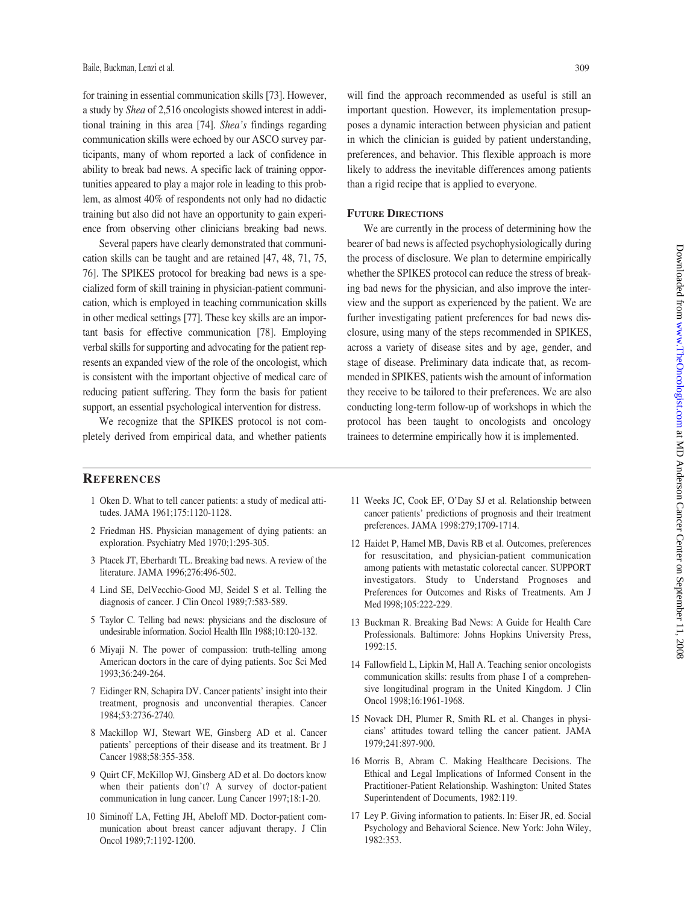for training in essential communication skills [73]. However, a study by *Shea* of 2,516 oncologists showed interest in additional training in this area [74]. *Shea's* findings regarding communication skills were echoed by our ASCO survey participants, many of whom reported a lack of confidence in ability to break bad news. A specific lack of training opportunities appeared to play a major role in leading to this problem, as almost 40% of respondents not only had no didactic training but also did not have an opportunity to gain experience from observing other clinicians breaking bad news.

Several papers have clearly demonstrated that communication skills can be taught and are retained [47, 48, 71, 75, 76]. The SPIKES protocol for breaking bad news is a specialized form of skill training in physician-patient communication, which is employed in teaching communication skills in other medical settings [77]. These key skills are an important basis for effective communication [78]. Employing verbal skills for supporting and advocating for the patient represents an expanded view of the role of the oncologist, which is consistent with the important objective of medical care of reducing patient suffering. They form the basis for patient support, an essential psychological intervention for distress.

We recognize that the SPIKES protocol is not completely derived from empirical data, and whether patients will find the approach recommended as useful is still an important question. However, its implementation presupposes a dynamic interaction between physician and patient in which the clinician is guided by patient understanding, preferences, and behavior. This flexible approach is more likely to address the inevitable differences among patients than a rigid recipe that is applied to everyone.

# **FUTURE DIRECTIONS**

We are currently in the process of determining how the bearer of bad news is affected psychophysiologically during the process of disclosure. We plan to determine empirically whether the SPIKES protocol can reduce the stress of breaking bad news for the physician, and also improve the interview and the support as experienced by the patient. We are further investigating patient preferences for bad news disclosure, using many of the steps recommended in SPIKES, across a variety of disease sites and by age, gender, and stage of disease. Preliminary data indicate that, as recommended in SPIKES, patients wish the amount of information they receive to be tailored to their preferences. We are also conducting long-term follow-up of workshops in which the protocol has been taught to oncologists and oncology trainees to determine empirically how it is implemented.

# **REFERENCES**

- 1 Oken D. What to tell cancer patients: a study of medical attitudes. JAMA 1961;175:1120-1128.
- 2 Friedman HS. Physician management of dying patients: an exploration. Psychiatry Med 1970;1:295-305.
- 3 Ptacek JT, Eberhardt TL. Breaking bad news. A review of the literature. JAMA 1996;276:496-502.
- 4 Lind SE, DelVecchio-Good MJ, Seidel S et al. Telling the diagnosis of cancer. J Clin Oncol 1989;7:583-589.
- 5 Taylor C. Telling bad news: physicians and the disclosure of undesirable information. Sociol Health Illn 1988;10:120-132.
- 6 Miyaji N. The power of compassion: truth-telling among American doctors in the care of dying patients. Soc Sci Med 1993;36:249-264.
- 7 Eidinger RN, Schapira DV. Cancer patients' insight into their treatment, prognosis and unconvential therapies. Cancer 1984;53:2736-2740.
- 8 Mackillop WJ, Stewart WE, Ginsberg AD et al. Cancer patients' perceptions of their disease and its treatment. Br J Cancer 1988;58:355-358.
- 9 Quirt CF, McKillop WJ, Ginsberg AD et al. Do doctors know when their patients don't? A survey of doctor-patient communication in lung cancer. Lung Cancer 1997;18:1-20.
- 10 Siminoff LA, Fetting JH, Abeloff MD. Doctor-patient communication about breast cancer adjuvant therapy. J Clin Oncol 1989;7:1192-1200.
- 11 Weeks JC, Cook EF, O'Day SJ et al. Relationship between cancer patients' predictions of prognosis and their treatment preferences. JAMA 1998:279;1709-1714.
- 12 Haidet P, Hamel MB, Davis RB et al. Outcomes, preferences for resuscitation, and physician-patient communication among patients with metastatic colorectal cancer. SUPPORT investigators. Study to Understand Prognoses and Preferences for Outcomes and Risks of Treatments. Am J Med l998;105:222-229.
- 13 Buckman R. Breaking Bad News: A Guide for Health Care Professionals. Baltimore: Johns Hopkins University Press, 1992:15.
- 14 Fallowfield L, Lipkin M, Hall A. Teaching senior oncologists communication skills: results from phase I of a comprehensive longitudinal program in the United Kingdom. J Clin Oncol 1998;16:1961-1968.
- 15 Novack DH, Plumer R, Smith RL et al. Changes in physicians' attitudes toward telling the cancer patient. JAMA 1979;241:897-900.
- 16 Morris B, Abram C. Making Healthcare Decisions. The Ethical and Legal Implications of Informed Consent in the Practitioner-Patient Relationship. Washington: United States Superintendent of Documents, 1982:119.
- 17 Ley P. Giving information to patients. In: Eiser JR, ed. Social Psychology and Behavioral Science. New York: John Wiley, 1982:353.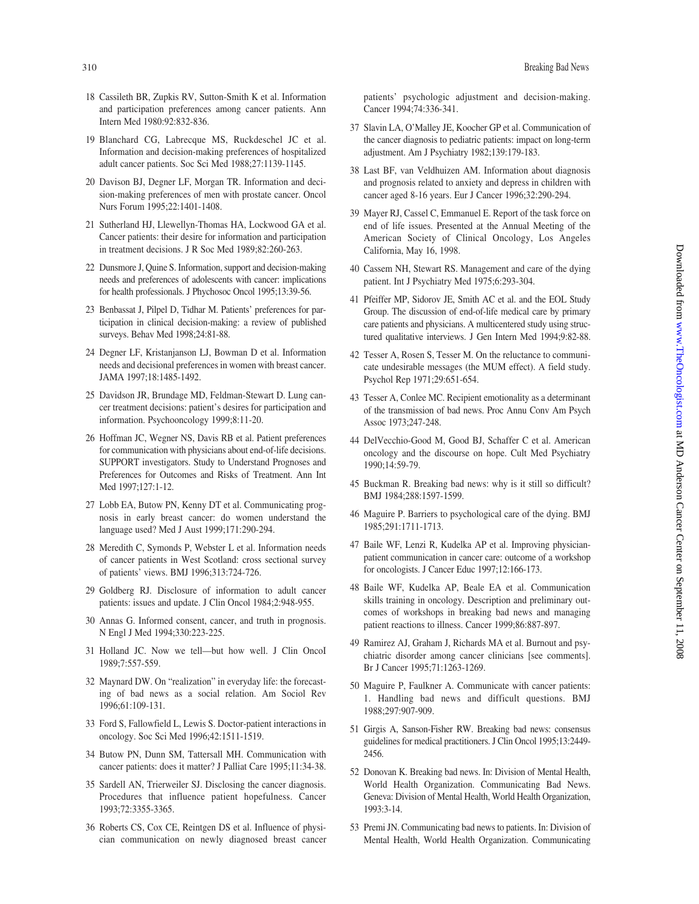- 18 Cassileth BR, Zupkis RV, Sutton-Smith K et al. Information and participation preferences among cancer patients. Ann Intern Med 1980:92:832-836.
- 19 Blanchard CG, Labrecque MS, Ruckdeschel JC et al. Information and decision-making preferences of hospitalized adult cancer patients. Soc Sci Med 1988;27:1139-1145.
- 20 Davison BJ, Degner LF, Morgan TR. Information and decision-making preferences of men with prostate cancer. Oncol Nurs Forum 1995;22:1401-1408.
- 21 Sutherland HJ, Llewellyn-Thomas HA, Lockwood GA et al. Cancer patients: their desire for information and participation in treatment decisions. J R Soc Med 1989;82:260-263.
- 22 Dunsmore J, Quine S. Information, support and decision-making needs and preferences of adolescents with cancer: implications for health professionals. J Phychosoc Oncol 1995;13:39-56.
- 23 Benbassat J, Pilpel D, Tidhar M. Patients' preferences for participation in clinical decision-making: a review of published surveys. Behav Med 1998;24:81-88.
- 24 Degner LF, Kristanjanson LJ, Bowman D et al. Information needs and decisional preferences in women with breast cancer. JAMA 1997;18:1485-1492.
- 25 Davidson JR, Brundage MD, Feldman-Stewart D. Lung cancer treatment decisions: patient's desires for participation and information. Psychooncology 1999;8:11-20.
- 26 Hoffman JC, Wegner NS, Davis RB et al. Patient preferences for communication with physicians about end-of-life decisions. SUPPORT investigators. Study to Understand Prognoses and Preferences for Outcomes and Risks of Treatment. Ann Int Med 1997;127:1-12.
- 27 Lobb EA, Butow PN, Kenny DT et al. Communicating prognosis in early breast cancer: do women understand the language used? Med J Aust 1999;171:290-294.
- 28 Meredith C, Symonds P, Webster L et al. Information needs of cancer patients in West Scotland: cross sectional survey of patients' views. BMJ 1996;313:724-726.
- 29 Goldberg RJ. Disclosure of information to adult cancer patients: issues and update. J Clin Oncol 1984;2:948-955.
- 30 Annas G. Informed consent, cancer, and truth in prognosis. N Engl J Med 1994;330:223-225.
- 31 Holland JC. Now we tell—but how well. J Clin OncoI 1989;7:557-559.
- 32 Maynard DW. On "realization" in everyday life: the forecasting of bad news as a social relation. Am Sociol Rev 1996;61:109-131.
- 33 Ford S, Fallowfield L, Lewis S. Doctor-patient interactions in oncology. Soc Sci Med 1996;42:1511-1519.
- 34 Butow PN, Dunn SM, Tattersall MH. Communication with cancer patients: does it matter? J Palliat Care 1995;11:34-38.
- 35 Sardell AN, Trierweiler SJ. Disclosing the cancer diagnosis. Procedures that influence patient hopefulness. Cancer 1993;72:3355-3365.
- 36 Roberts CS, Cox CE, Reintgen DS et al. Influence of physician communication on newly diagnosed breast cancer

patients' psychologic adjustment and decision-making. Cancer 1994;74:336-341.

- 37 Slavin LA, O'Malley JE, Koocher GP et al. Communication of the cancer diagnosis to pediatric patients: impact on long-term adjustment. Am J Psychiatry 1982;139:179-183.
- 38 Last BF, van Veldhuizen AM. Information about diagnosis and prognosis related to anxiety and depress in children with cancer aged 8-16 years. Eur J Cancer 1996;32:290-294.
- 39 Mayer RJ, Cassel C, Emmanuel E. Report of the task force on end of life issues. Presented at the Annual Meeting of the American Society of Clinical Oncology, Los Angeles California, May 16, 1998.
- 40 Cassem NH, Stewart RS. Management and care of the dying patient. Int J Psychiatry Med 1975;6:293-304.
- 41 Pfeiffer MP, Sidorov JE, Smith AC et al. and the EOL Study Group. The discussion of end-of-life medical care by primary care patients and physicians. A multicentered study using structured qualitative interviews. J Gen Intern Med 1994;9:82-88.
- 42 Tesser A, Rosen S, Tesser M. On the reluctance to communicate undesirable messages (the MUM effect). A field study. Psychol Rep 1971;29:651-654.
- 43 Tesser A, Conlee MC. Recipient emotionality as a determinant of the transmission of bad news. Proc Annu Conv Am Psych Assoc 1973;247-248.
- 44 DelVecchio-Good M, Good BJ, Schaffer C et al. American oncology and the discourse on hope. Cult Med Psychiatry 1990;14:59-79.
- 45 Buckman R. Breaking bad news: why is it still so difficult? BMJ 1984;288:1597-1599.
- 46 Maguire P. Barriers to psychological care of the dying. BMJ 1985;291:1711-1713.
- 47 Baile WF, Lenzi R, Kudelka AP et al. Improving physicianpatient communication in cancer care: outcome of a workshop for oncologists. J Cancer Educ 1997;12:166-173.
- 48 Baile WF, Kudelka AP, Beale EA et al. Communication skills training in oncology. Description and preliminary outcomes of workshops in breaking bad news and managing patient reactions to illness. Cancer 1999;86:887-897.
- 49 Ramirez AJ, Graham J, Richards MA et al. Burnout and psychiatric disorder among cancer clinicians [see comments]. Br J Cancer 1995;71:1263-1269.
- 50 Maguire P, Faulkner A. Communicate with cancer patients: 1. Handling bad news and difficult questions. BMJ 1988;297:907-909.
- 51 Girgis A, Sanson-Fisher RW. Breaking bad news: consensus guidelines for medical practitioners. J Clin Oncol 1995;13:2449- 2456.
- 52 Donovan K. Breaking bad news. In: Division of Mental Health, World Health Organization. Communicating Bad News. Geneva: Division of Mental Health, World Health Organization, 1993:3-14.
- 53 Premi JN. Communicating bad news to patients. In: Division of Mental Health, World Health Organization. Communicating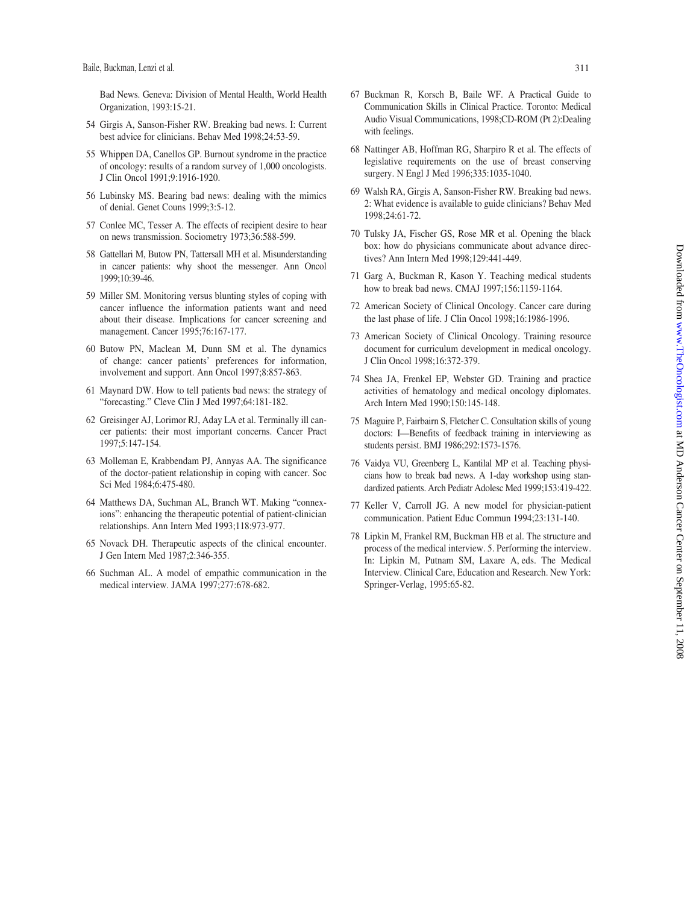Bad News. Geneva: Division of Mental Health, World Health Organization, 1993:15-21.

- 54 Girgis A, Sanson-Fisher RW. Breaking bad news. I: Current best advice for clinicians. Behav Med 1998;24:53-59.
- 55 Whippen DA, Canellos GP. Burnout syndrome in the practice of oncology: results of a random survey of 1,000 oncologists. J Clin Oncol 1991;9:1916-1920.
- 56 Lubinsky MS. Bearing bad news: dealing with the mimics of denial. Genet Couns 1999;3:5-12.
- 57 Conlee MC, Tesser A. The effects of recipient desire to hear on news transmission. Sociometry 1973;36:588-599.
- 58 Gattellari M, Butow PN, Tattersall MH et al. Misunderstanding in cancer patients: why shoot the messenger. Ann Oncol 1999;10:39-46.
- 59 Miller SM. Monitoring versus blunting styles of coping with cancer influence the information patients want and need about their disease. Implications for cancer screening and management. Cancer 1995;76:167-177.
- 60 Butow PN, Maclean M, Dunn SM et al. The dynamics of change: cancer patients' preferences for information, involvement and support. Ann Oncol 1997;8:857-863.
- 61 Maynard DW. How to tell patients bad news: the strategy of "forecasting." Cleve Clin J Med 1997;64:181-182.
- 62 Greisinger AJ, Lorimor RJ, Aday LA et al. Terminally ill cancer patients: their most important concerns. Cancer Pract 1997;5:147-154.
- 63 Molleman E, Krabbendam PJ, Annyas AA. The significance of the doctor-patient relationship in coping with cancer. Soc Sci Med 1984;6:475-480.
- 64 Matthews DA, Suchman AL, Branch WT. Making "connexions": enhancing the therapeutic potential of patient-clinician relationships. Ann Intern Med 1993;118:973-977.
- 65 Novack DH. Therapeutic aspects of the clinical encounter. J Gen Intern Med 1987;2:346-355.
- 66 Suchman AL. A model of empathic communication in the medical interview. JAMA 1997;277:678-682.
- 67 Buckman R, Korsch B, Baile WF. A Practical Guide to Communication Skills in Clinical Practice. Toronto: Medical Audio Visual Communications, 1998;CD-ROM (Pt 2):Dealing with feelings.
- 68 Nattinger AB, Hoffman RG, Sharpiro R et al. The effects of legislative requirements on the use of breast conserving surgery. N Engl J Med 1996;335:1035-1040.
- 69 Walsh RA, Girgis A, Sanson-Fisher RW. Breaking bad news. 2: What evidence is available to guide clinicians? Behav Med 1998;24:61-72.
- 70 Tulsky JA, Fischer GS, Rose MR et al. Opening the black box: how do physicians communicate about advance directives? Ann Intern Med 1998;129:441-449.
- 71 Garg A, Buckman R, Kason Y. Teaching medical students how to break bad news. CMAJ 1997;156:1159-1164.
- 72 American Society of Clinical Oncology. Cancer care during the last phase of life. J Clin Oncol 1998;16:1986-1996.
- 73 American Society of Clinical Oncology. Training resource document for curriculum development in medical oncology. J Clin Oncol 1998;16:372-379.
- 74 Shea JA, Frenkel EP, Webster GD. Training and practice activities of hematology and medical oncology diplomates. Arch Intern Med 1990;150:145-148.
- 75 Maguire P, Fairbairn S, Fletcher C. Consultation skills of young doctors: I—Benefits of feedback training in interviewing as students persist. BMJ 1986;292:1573-1576.
- 76 Vaidya VU, Greenberg L, Kantilal MP et al. Teaching physicians how to break bad news. A 1-day workshop using standardized patients. Arch Pediatr Adolesc Med 1999;153:419-422.
- 77 Keller V, Carroll JG. A new model for physician-patient communication. Patient Educ Commun 1994;23:131-140.
- 78 Lipkin M, Frankel RM, Buckman HB et al. The structure and process of the medical interview. 5. Performing the interview. In: Lipkin M, Putnam SM, Laxare A, eds. The Medical Interview. Clinical Care, Education and Research. New York: Springer-Verlag, 1995:65-82.